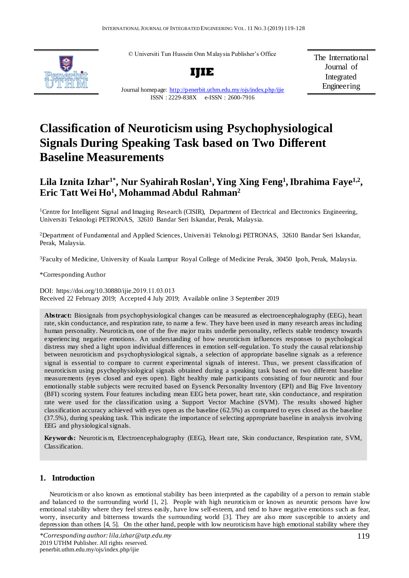© Universiti Tun Hussein Onn Malaysia Publisher's Office



**IJIE**

The International Journal of Integrated Engineering

Journal homepage:<http://penerbit.uthm.edu.my/ojs/index.php/ijie> ISSN : 2229-838X e-ISSN : 2600-7916

# **Classification of Neuroticism using Psychophysiological Signals During Speaking Task based on Two Different Baseline Measurements**

## Lila Iznita Izhar<sup>1\*</sup>, Nur Syahirah Roslan<sup>1</sup>, Ying Xing Feng<sup>1</sup>, Ibrahima Faye<sup>1,2</sup>, **Eric Tatt Wei Ho<sup>1</sup> , Mohammad Abdul Rahman<sup>2</sup>**

<sup>1</sup>Centre for Intelligent Signal and Imaging Research (CISIR), Department of Electrical and Electronics Engineering, Universiti Teknologi PETRONAS, 32610 Bandar Seri Iskandar, Perak, Malaysia.

<sup>2</sup>Department of Fundamental and Applied Sciences, Universiti Teknologi PETRONAS, 32610 Bandar Seri Iskandar, Perak, Malaysia.

<sup>3</sup>Faculty of Medicine, University of Kuala Lumpur Royal College of Medicine Perak, 30450 Ipoh, Perak, Malaysia.

\*Corresponding Author

DOI: https://doi.org/10.30880/ijie.2019.11.03.013 Received 22 February 2019; Accepted 4 July 2019; Available online 3 September 2019

**Abstract:** Biosignals from psychophysiological changes can be measured as electroencephalography (EEG), heart rate, skin conductance, and respiration rate, to name a few. They have been used in many research areas including human personality. Neuroticis m, one of the five major traits underlie personality, reflects stable tendency towards experiencing negative emotions. An understanding of how neuroticism influences responses to psychological distress may shed a light upon individual differences in emotion self-regulation. To study the causal relationship between neuroticism and psychophysiological signals, a selection of appropriate baseline signals as a reference signal is essential to compare to current experimental signals of interest. Thus, we present classification of neuroticism using psychophysiological signals obtained during a speaking task based on two different baseline measurements (eyes closed and eyes open). Eight healthy male participants consisting of four neurotic and four emotionally stable subjects were recruited based on Eysenck Personality Inventory (EPI) and Big Five Inventory (BFI) scoring system. Four features including mean EEG beta power, heart rate, skin conductance, and respiration rate were used for the classification using a Support Vector Machine (SVM). The results showed higher classification accuracy achieved with eyes open as the baseline (62.5%) as compared to eyes closed as the baseline (37.5%), during speaking task. This indicate the importance of selecting appropriate baseline in analysis involving EEG and physiological signals.

**Keywords:** Neuroticis m, Electroencephalography (EEG), Heart rate, Skin conductance, Respiration rate, SVM, Classification.

## **1. Introduction**

Neuroticism or also known as emotional stability has been interpreted as the capability of a person to remain stable and balanced to the surrounding world [1, 2]. People with high neuroticism or known as neurotic persons have low emotional stability where they feel stress easily, have low self-esteem, and tend to have negative emotions such as fear, worry, insecurity and bitterness towards the surrounding world [3]. They are also more susceptible to anxiety and depression than others [4, 5]. On the other hand, people with low neuroticism have high emotional stability where they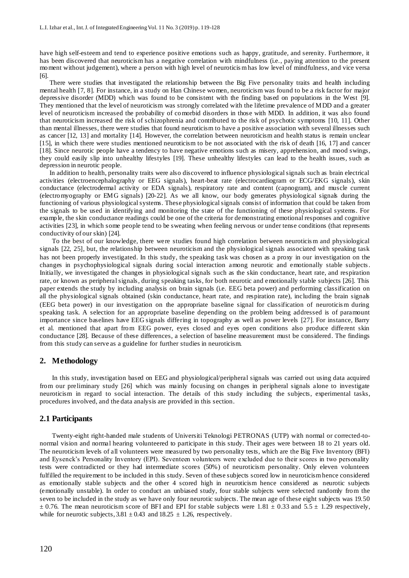have high self-esteem and tend to experience positive emotions such as happy, gratitude, and serenity. Furthermore, it has been discovered that neuroticism has a negative correlation with mindfulness (i.e., paying attention to the present moment without judgement), where a person with high level of neuroticis m has low level of mindfulness, and vice versa [6].

There were studies that investigated the relationship between the Big Five personality traits and health including mental health [7, 8]. For instance, in a study on Han Chinese women, neuroticism was found to be a risk factor for major depressive disorder (MDD) which was found to be consistent with the finding based on populations in the West [9]. They mentioned that the level of neuroticism was strongly correlated with the lifetime prevalence of MDD and a greater level of neuroticism increased the probability of comorbid disorders in those with MDD. In addition, it was also found that neuroticism increased the risk of schizophrenia and contributed to the risk of psychotic symptoms [10, 11]. Other than mental illnesses, there were studies that found neuroticism to have a positive association with several illnesses such as cancer [12, 13] and mortality [14]. However, the correlation between neuroticism and health status is remain unclear [15], in which there were studies mentioned neuroticism to be not associated with the risk of death [16, 17] and cancer [18]. Since neurotic people have a tendency to have negative emotions such as misery, apprehension, and mood swings, they could easily slip into unhealthy lifestyles [19]. These unhealthy lifestyles can lead to the health issues, such as depression in neurotic people.

In addition to health, personality traits were also discovered to influence physiological signals such as brain electrical activities (electroencephalography or EEG signals), heart-beat rate (electrocardiogram or ECG/EKG signals), skin conductance (electrodermal activity or EDA signals), respiratory rate and content (capnogram), and muscle current (electromyography or EMG signals) [20-22]. As we all know, our body generates physiological signals during the functioning of various physiological systems. These physiological signals consist of information that could be taken from the signals to be used in identifying and monitoring the state of the functioning of these physiological systems. For example, the skin conductance readings could be one of the criteria for demonstrating emotional responses and cognitive activities [23], in which some people tend to be sweating when feeling nervous or under tense conditions (that represents conductivity of our skin) [24].

To the best of our knowledge, there were studies found high correlation between neuroticis m and physiological signals [22, 25], but, the relationship between neuroticism and the physiological signals associated with speaking task has not been properly investigated. In this study, the speaking task was chosen as a proxy in our investigation on the changes in psychophysiological signals during social interaction among neurotic and emotionally stable subjects. Initially, we investigated the changes in physiological signals such as the skin conductance, heart rate, and respiration rate, or known as peripheral signals, during speaking tasks, for both neurotic and emotionally stable subjects [26]. This paper extends the study by including analysis on brain signals (i.e. EEG beta power) and performing classification on all the physiological signals obtained (skin conductance, heart rate, and respiration rate), including the brain signals (EEG beta power) in our investigation on the appropriate baseline signal for classification of neuroticis m during speaking task. A selection for an appropriate baseline depending on the problem being addressed is of paramount importance since baselines have EEG signals differing in topography as well as power levels [27]. For instance, Barry et al. mentioned that apart from EEG power, eyes closed and eyes open conditions also produce different skin conductance [28]. Because of these differences, a selection of baseline measurement must be considered. The findings from this study can serve as a guideline for further studies in neuroticism.

#### **2. Methodology**

In this study, investigation based on EEG and physiological/peripheral signals was carried out using data acquired from our preliminary study [26] which was mainly focusing on changes in peripheral signals alone to investigate neuroticism in regard to social interaction. The details of this study including the subjects, experimental tasks, procedures involved, and the data analysis are provided in this section.

#### **2.1 Participants**

Twenty-eight right-handed male students of Universiti Teknologi PETRONAS (UTP) with normal or corrected-tonormal vision and normal hearing volunteered to participate in this study. Their ages were between 18 to 21 years old. The neuroticism levels of all volunteers were measured by two personality tests, which are the Big Five Inventory (BFI) and Eysenck's Personality Inventory (EPI). Seventeen volunteers were excluded due to their scores in two personality tests were contradicted or they had intermediate scores (50%) of neuroticism personality. Only eleven volunteers fulfilled the requirement to be included in this study. Seven of these subjects scored low in neuroticism hence considered as emotionally stable subjects and the other 4 scored high in neuroticism hence considered as neurotic subjects (emotionally unstable). In order to conduct an unbiased study, four stable subjects were selected randomly from the seven to be included in the study as we have only four neurotic subjects. The mean age of these eight subjects was 19.50  $\pm$  0.76. The mean neuroticism score of BFI and EPI for stable subjects were 1.81  $\pm$  0.33 and 5.5  $\pm$  1.29 respectively, while for neurotic subjects,  $3.81 \pm 0.43$  and  $18.25 \pm 1.26$ , respectively.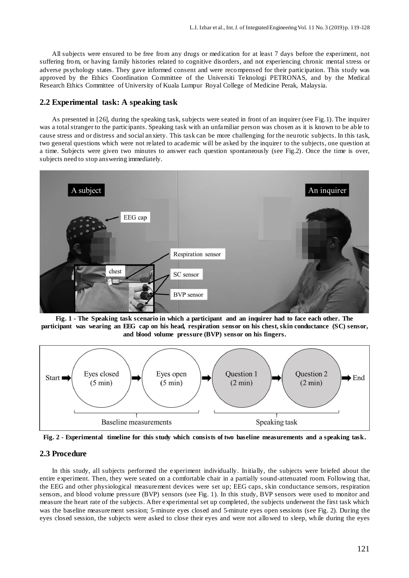All subjects were ensured to be free from any drugs or medication for at least 7 days before the experiment, not suffering from, or having family histories related to cognitive disorders, and not experiencing chronic mental stress or adverse psychology states. They gave informed consent and were recompensed for their participation. This study was approved by the Ethics Coordination Committee of the Universiti Teknologi PETRONAS, and by the Medical Research Ethics Committee of University of Kuala Lumpur Royal College of Medicine Perak, Malaysia.

## **2.2 Experimental task: A speaking task**

As presented in [26], during the speaking task, subjects were seated in front of an inquirer (see Fig.1). The inquirer was a total stranger to the participants. Speaking task with an unfamiliar person was chosen as it is known to be able to cause stress and or distress and social anxiety. This task can be more challenging for the neurotic subjects. In this task, two general questions which were not related to academic will be asked by the inquirer to the subjects, one question at a time. Subjects were given two minutes to answer each question spontaneously (see Fig.2). Once the time is over, subjects need to stop answering immediately.







**Fig. 2 - Experimental timeline for this study which consists of two baseline measurements and a speaking task.**

#### **2.3 Procedure**

In this study, all subjects performed the experiment individually. Initially, the subjects were briefed about the entire experiment. Then, they were seated on a comfortable chair in a partially sound-attenuated room. Following that, the EEG and other physiological measurement devices were set up; EEG caps, skin conductance sensors, respiration sensors, and blood volume pressure (BVP) sensors (see Fig. 1). In this study, BVP sensors were used to monitor and measure the heart rate of the subjects. After experimental set up completed, the subjects underwent the first task which was the baseline measurement session; 5-minute eyes closed and 5-minute eyes open sessions (see Fig. 2). During the eyes closed session, the subjects were asked to close their eyes and were not allowed to sleep, while during the eyes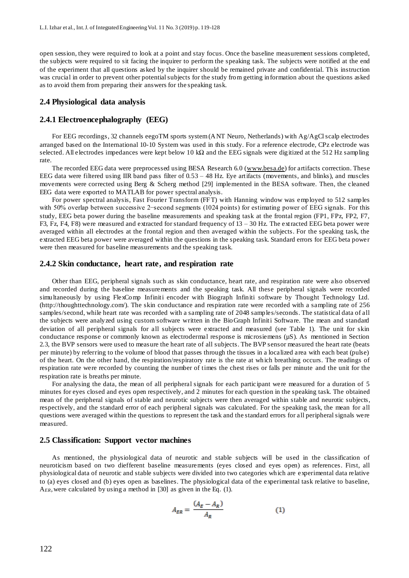open session, they were required to look at a point and stay focus. Once the baseline measurement sessions completed, the subjects were required to sit facing the inquirer to perform the speaking task. The subjects were notified at the end of the experiment that all questions asked by the inquirer should be remained private and confidential. This instruction was crucial in order to prevent other potential subjects for the study from getting information about the questions asked as to avoid them from preparing their answers for the speaking task.

#### **2.4 Physiological data analysis**

#### **2.4.1 Electroencephalography (EEG)**

For EEG recordings, 32 channels eegoTM sports system (ANT Neuro, Netherlands) with Ag/AgCl scalp electrodes arranged based on the International 10-10 System was used in this study. For a reference electrode, CPz electrode was selected. All electrodes impedances were kept below 10 kΩ and the EEG signals were digitized at the 512 Hz sampling rate.

The recorded EEG data were preprocessed using BESA Research 6.0 [\(www.besa.de\)](http://www.besa.de/) for artifacts correction. These EEG data were filtered using IIR band pass filter of 0.53 – 48 Hz. Eye artifacts (movements, and blinks), and muscles movements were corrected using Berg & Scherg method [29] implemented in the BESA software. Then, the cleaned EEG data were exported to MATLAB for power spectral analysis.

For power spectral analysis, Fast Fourier Transform (FFT) with Hanning window was employed to 512 samples with 50% overlap between successive 2−second segments (1024 points) for estimating power of EEG signals. For this study, EEG beta power during the baseline measurements and speaking task at the frontal region (FP1, FPz, FP2, F7, F3, Fz, F4, F8) were measured and extracted for standard frequency of 13 – 30 Hz. The extracted EEG beta power were averaged within all electrodes at the frontal region and then averaged within the subjects. For the speaking task, the extracted EEG beta power were averaged within the questions in the speaking task. Standard errors for EEG beta power were then measured for baseline measurements and the speaking task.

#### **2.4.2 Skin conductance, heart rate, and respiration rate**

Other than EEG, peripheral signals such as skin conductance, heart rate, and respiration rate were also observed and recorded during the baseline measurements and the speaking task. All these peripheral signals were recorded simultaneously by using FlexComp Infiniti encoder with Biograph Infiniti software by Thought Technology Ltd. (http://thoughttechnology.com/). The skin conductance and respiration rate were recorded with a sampling rate of 256 samples/second, while heart rate was recorded with a sampling rate of 2048 samples/seconds. The statistical data of all the subjects were analyzed using custom software written in the BioGraph Infiniti Software. The mean and standard deviation of all peripheral signals for all subjects were extracted and measured (see Table 1). The unit for skin conductance response or commonly known as electrodermal response is microsiemens ( $\mu$ S). As mentioned in Section 2.3, the BVP sensors were used to measure the heart rate of all subjects. The BVP sensor measured the heart rate (beats per minute) by referring to the volume of blood that passes through the tissues in a localized area with each beat (pulse) of the heart. On the other hand, the respiration/respiratory rate is the rate at which breathing occurs. The readings of respiration rate were recorded by counting the number of times the chest rises or falls per minute and the unit for the respiration rate is breaths per minute.

For analysing the data, the mean of all peripheral signals for each participant were measured for a duration of 5 minutes for eyes closed and eyes open respectively, and 2 minutes for each question in the speaking task. The obtained mean of the peripheral signals of stable and neurotic subjects were then averaged within stable and neurotic subjects, respectively, and the standard error of each peripheral signals was calculated. For the speaking task, the mean for all questions were averaged within the questions to represent the task and the standard errors for all peripheral signals were measured.

#### **2.5 Classification: Support vector machines**

As mentioned, the physiological data of neurotic and stable subjects will be used in the classification of neuroticism based on two diefferent baseline measurements (eyes closed and eyes open) as references. First, all physiological data of neurotic and stable subjects were divided into two categories which are experimental data relative to (a) eyes closed and (b) eyes open as baselines. The physiological data of the experimental task relative to baseline, A*ER*, were calculated by using a method in [30] as given in the Eq. (1).

$$
A_{ER} = \frac{(A_E - A_R)}{A_R} \tag{1}
$$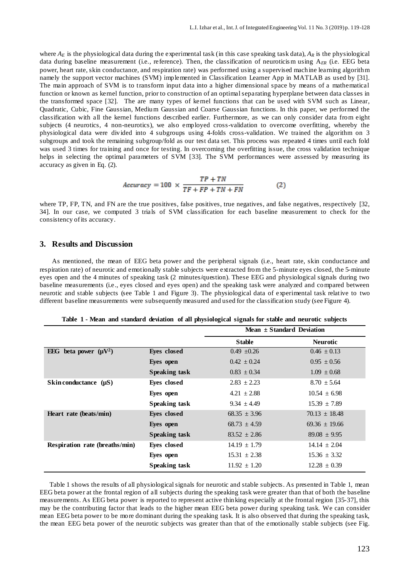where  $A_E$  is the physiological data during the experimental task (in this case speaking task data),  $A_R$  is the physiological data during baseline measurement (i.e., reference). Then, the classification of neuroticism using A<sub>ER</sub> (i.e. EEG beta power, heart rate, skin conductance, and respiration rate) was performed using a supervised machine learning algorithm namely the support vector machines (SVM) implemented in Classification Learner App in MATLAB as used by [31]. The main approach of SVM is to transform input data into a higher dimensional space by means of a mathematical function or known as kernel function, prior to construction of an optimal separating hyperplane between data classes in the transformed space [32]. The are many types of kernel functions that can be used with SVM such as Linear, Quadratic, Cubic, Fine Gaussian, Medium Gaussian and Coarse Gaussian functions. In this paper, we performed the classification with all the kernel functions described earlier. Furthermore, as we can only consider data from eight subjects (4 neurotics, 4 non-neurotics), we also employed cross-validation to overcome overfitting, whereby the physiological data were divided into 4 subgroups using 4-folds cross-validation. We trained the algorithm on 3 subgroups and took the remaining subgroup/fold as our test data set. This process was repeated 4 times until each fold was used 3 times for training and once for testing. In overcoming the overfitting issue, the cross validation technique helps in selecting the optimal parameters of SVM [33]. The SVM performances were assessed by measuring its accuracy as given in Eq. (2).

$$
Accuracy = 100 \times \frac{TP + TN}{TF + FP + TN + FN}
$$
 (2)

where TP, FP, TN, and FN are the true positives, false positives, true negatives, and false negatives, respectively [32, 34]. In our case, we computed 3 trials of SVM classification for each baseline measurement to check for the consistency of its accuracy.

## **3. Results and Discussion**

As mentioned, the mean of EEG beta power and the peripheral signals (i.e., heart rate, skin conductance and respiration rate) of neurotic and emotionally stable subjects were extracted from the 5-minute eyes closed, the 5-minute eyes open and the 4 minutes of speaking task (2 minutes/question). These EEG and physiological signals during two baseline measurements (i.e., eyes closed and eyes open) and the speaking task were analyzed and compared between neurotic and stable subjects (see Table 1 and Figure 3). The physiological data of experimental task relative to two different baseline measurements were subsequently measured and used for the classification study (see Figure 4).

|                                |                      | Mean $\pm$ Standard Deviation |                   |
|--------------------------------|----------------------|-------------------------------|-------------------|
|                                |                      | <b>Stable</b>                 | <b>Neurotic</b>   |
| EEG beta power $(\mu V^2)$     | Eyes closed          | $0.49 \pm 0.26$               | $0.46 \pm 0.13$   |
|                                | Eyes open            | $0.42 \pm 0.24$               | $0.95 \pm 0.56$   |
|                                | <b>Speaking task</b> | $0.83 \pm 0.34$               | $1.09 \pm 0.68$   |
| Skin conductance $(\mu S)$     | Eves closed          | $2.83 \pm 2.23$               | $8.70 \pm 5.64$   |
|                                | Eyes open            | $4.21 \pm 2.88$               | $10.54 \pm 6.98$  |
|                                | <b>Speaking task</b> | $9.34 \pm 4.49$               | $15.39 \pm 7.89$  |
| Heart rate (beats/min)         | Eyes closed          | $68.35 \pm 3.96$              | $70.13 \pm 18.48$ |
|                                | Eyes open            | $68.73 + 4.59$                | $69.36 \pm 19.66$ |
|                                | <b>Speaking task</b> | $83.52 \pm 2.86$              | $89.08 \pm 9.95$  |
| Respiration rate (breaths/min) | Eyes closed          | $14.19 \pm 1.79$              | $14.14 \pm 2.04$  |
|                                | Eyes open            | $15.31 \pm 2.38$              | $15.36 \pm 3.32$  |
|                                | Speaking task        | $11.92 \pm 1.20$              | $12.28 \pm 0.39$  |

**Table 1 - Mean and standard deviation of all physiological signals for stable and neurotic subjects**

Table 1 shows the results of all physiological signals for neurotic and stable subjects. As presented in Table 1, mean EEG beta power at the frontal region of all subjects during the speaking task were greater than that of both the baseline measurements. As EEG beta power is reported to represent active thinking especially at the frontal region [35-37], this may be the contributing factor that leads to the higher mean EEG beta power during speaking task. We can consider mean EEG beta power to be more dominant during the speaking task. It is also observed that during the speaking task, the mean EEG beta power of the neurotic subjects was greater than that of the emotionally stable subjects (see Fig.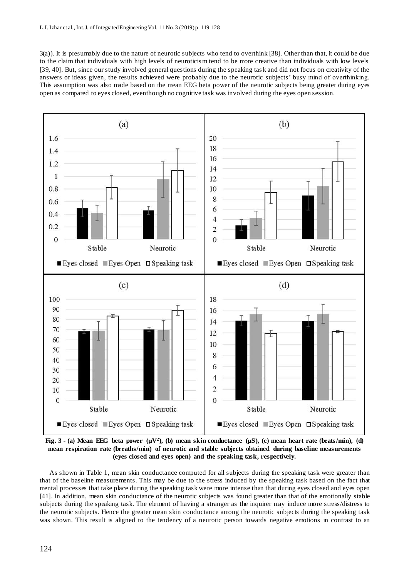3(a)). It is presumably due to the nature of neurotic subjects who tend to overthink [38]. Other than that, it could be due to the claim that individuals with high levels of neuroticis m tend to be more creative than individuals with low levels [39, 40]. But, since our study involved general questions during the speaking tas k and did not focus on creativity of the answers or ideas given, the results achieved were probably due to the neurotic subjects' busy mind of overthinking. This assumption was also made based on the mean EEG beta power of the neurotic subjects being greater during eyes open as compared to eyes closed, eventhough no cognitive task was involved during the eyes open session.



**Fig.** 3 **-** (a) Mean EEG beta power  $(\mu V^2)$ , (b) mean skin conductance  $(\mu S)$ , (c) mean heart rate (beats/min), (d) **mean respiration rate (breaths/min) of neurotic and stable subjects obtained during baseline measurements (eyes closed and eyes open) and the speaking task, respectively.**

As shown in Table 1, mean skin conductance computed for all subjects during the speaking task were greater than that of the baseline measurements. This may be due to the stress induced by the speaking task based on the fact that mental processes that take place during the speaking task were more intense than that during eyes closed and eyes open [41]. In addition, mean skin conductance of the neurotic subjects was found greater than that of the emotionally stable subjects during the speaking task. The element of having a stranger as the inquirer may induce more stress/distress to the neurotic subjects. Hence the greater mean skin conductance among the neurotic subjects during the speaking task was shown. This result is aligned to the tendency of a neurotic person towards negative emotions in contrast to an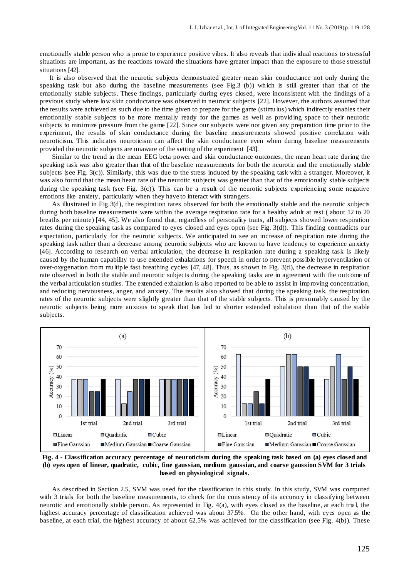emotionally stable person who is prone to experience positive vibes. It also reveals that individual reactions to stressful situations are important, as the reactions toward the situations have greater impact than the exposure to those stressful situations [42].

It is also observed that the neurotic subjects demonstrated greater mean skin conductance not only during the speaking task but also during the baseline measurements (see Fig.3 (b)) which is still greater than that of the emotionally stable subjects. These findings, particularly during eyes closed, were inconsistent with the findings of a previous study where low skin conductance was observed in neurotic subjects [22]. However, the authors assumed that the results were achieved as such due to the time given to prepare for the game (stimulus) which indirectly enables their emotionally stable subjects to be more mentally ready for the games as well as providing space to their neurotic subjects to minimize pressure from the game [22]. Since our subjects were not given any preparation time prior to the experiment, the results of skin conductance during the baseline measurements showed positive correlation with neuroticism. This indicates neuroticism can affect the skin conductance even when during baseline measurements provided the neurotic subjects are unaware of the setting of the experiment [43].

Similar to the trend in the mean EEG beta power and skin conductance outcomes, the mean heart rate during the speaking task was also greater than that of the baseline measurements for both the neurotic and the emotionally stable subjects (see Fig. 3(c)). Similarly, this was due to the stress induced by the speaking task with a stranger. Moreover, it was also found that the mean heart rate of the neurotic subjects was greater than that of the emotionally stable subjects during the speaking task (see Fig. 3(c)). This can be a result of the neurotic subjects experiencing some negative emotions like anxiety, particularly when they have to interact with strangers.

As illustrated in Fig.3(d), the respiration rates observed for both the emotionally stable and the neurotic subjects during both baseline measurements were within the average respiration rate for a healthy adult at rest (about 12 to 20 breaths per minute) [44, 45]. We also found that, regardless of personality traits, all subjects showed lower respiration rates during the speaking task as compared to eyes closed and eyes open (see Fig. 3(d)). This finding contradicts our expectation, particularly for the neurotic subjects. We anticipated to see an increase of respiration rate during the speaking task rather than a decrease among neurotic subjects who are known to have tendency to experience anxiety [46]. According to research on verbal articulation, the decrease in respiration rate during a speaking task is likely caused by the human capability to use extended exhalations for speech in order to prevent possible hyperventilation or over-oxygenation from multiple fast breathing cycles [47, 48]. Thus, as shown in Fig. 3(d), the decrease in respiration rate observed in both the stable and neurotic subjects during the speaking tasks are in agreement with the outcome of the verbal articulation studies. The extended exhalation is also reported to be able to assist in improving concentration, and reducing nervousness, anger, and anxiety. The results also showed that during the speaking task, the respiration rates of the neurotic subjects were slightly greater than that of the stable subjects. This is presumably caused by the neurotic subjects being more anxious to speak that has led to shorter extended exhalation than that of the stable subjects.



**Fig. 4 - Classification accuracy percentage of neuroticism during the speaking task based on (a) eyes closed and (b) eyes open of linear, quadratic, cubic, fine gaussian, medium gaussian, and coarse gaussion SVM for 3 trials based on physiological signals.**

As described in Section 2.5, SVM was used for the classification in this study. In this study, SVM was computed with 3 trials for both the baseline measurements, to check for the consistency of its accuracy in classifying between neurotic and emotionally stable person. As represented in Fig. 4(a), with eyes closed as the baseline, at each trial, the highest accuracy percentage of classification achieved was about 37.5%. On the other hand, with eyes open as the baseline, at each trial, the highest accuracy of about 62.5% was achieved for the classification (see Fig. 4(b)). These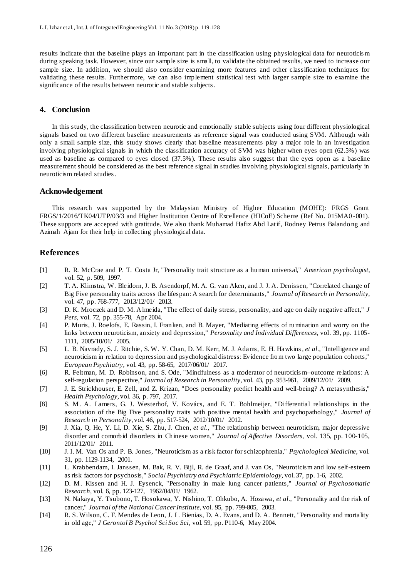results indicate that the baseline plays an important part in the classification using physiological data for neuroticis m during speaking task. However, since our sample size is small, to validate the obtained results, we need to increase our sample size. In addition, we should also consider examining more features and other classification techniques for validating these results. Furthermore, we can also implement statistical test with larger sample size to examine the significance of the results between neurotic and stable subjects.

## **4. Conclusion**

In this study, the classification between neurotic and emotionally stable subjects using four different physiological signals based on two different baseline measurements as reference signal was conducted using SVM. Although with only a small sample size, this study shows clearly that baseline measurements play a major role in an investigation involving physiological signals in which the classification accuracy of SVM was higher when eyes open (62.5%) was used as baseline as compared to eyes closed (37.5%). These results also suggest that the eyes open as a baseline measurement should be considered as the best reference signal in studies involving physiological signals, particularly in neuroticism related studies.

### **Acknowledgement**

This research was supported by the Malaysian Ministry of Higher Education (MOHE): FRGS Grant FRGS/1/2016/TK04/UTP/03/3 and Higher Institution Centre of Excellence (HICoE) Scheme (Ref No. 015MA0 -001). These supports are accepted with gratitude. We also thank Muhamad Hafiz Abd Latif, Rodney Petrus Balando ng and Azimah Ajam for their help in collecting physiological data.

## **References**

- [1] R. R. McCrae and P. T. Costa Jr, "Personality trait structure as a human universal," *American psychologist,*  vol. 52, p. 509, 1997.
- [2] T. A. Klimstra, W. Bleidorn, J. B. Asendorpf, M. A. G. van Aken, and J. J. A. Denissen, "Correlated change of Big Five personality traits across the lifespan: A search for determinants," *Journal of Research in Personality,*  vol. 47, pp. 768-777, 2013/12/01/ 2013.
- [3] D. K. Mroczek and D. M. Almeida, "The effect of daily stress, personality, and age on daily negative affect," *J Pers,* vol. 72, pp. 355-78, Apr 2004.
- [4] P. Muris, J. Roelofs, E. Rassin, I. Franken, and B. Mayer, "Mediating effects of rumination and worry on the links between neuroticism, anxiety and depression," *Personality and Individual Differences,* vol. 39, pp. 1105- 1111, 2005/10/01/ 2005.
- [5] L. B. Navrady, S. J. Ritchie, S. W. Y. Chan, D. M. Kerr, M. J. Adams, E. H. Hawkins*, et al.*, "Intelligence and neuroticism in relation to depression and psychological distress: Evidence from two large population cohorts," *European Psychiatry,* vol. 43, pp. 58-65, 2017/06/01/ 2017.
- [6] R. Feltman, M. D. Robinson, and S. Ode, "Mindfulness as a moderator of neuroticis m–outcome relations: A self-regulation perspective," *Journal of Research in Personality,* vol. 43, pp. 953-961, 2009/12/01/ 2009.
- [7] J. E. Strickhouser, E. Zell, and Z. Krizan, "Does personality predict health and well-being? A metasynthesis," *Health Psychology,* vol. 36, p. 797, 2017.
- [8] S. M. A. Lamers, G. J. Westerhof, V. Kovács, and E. T. Bohlmeijer, "Differential relationships in the association of the Big Five personality traits with positive mental health and psychopathology," *Journal of Research in Personality,* vol. 46, pp. 517-524, 2012/10/01/ 2012.
- [9] J. Xia, Q. He, Y. Li, D. Xie, S. Zhu, J. Chen*, et al.*, "The relationship between neuroticism, major depressive disorder and comorbid disorders in Chinese women," *Journal of Affective Disorders,* vol. 135, pp. 100-105, 2011/12/01/ 2011.
- [10] J. I. M. Van Os and P. B. Jones, "Neuroticism as a risk factor for schizophrenia," *Psychological Medicine,* vol. 31, pp. 1129-1134, 2001.
- [11] L. Krabbendam, I. Janssen, M. Bak, R. V. Bijl, R. de Graaf, and J. van Os, "Neuroticism and low self-esteem as risk factors for psychosis," *Social Psychiatry and Psychiatric Epidemiology,* vol. 37, pp. 1-6, 2002.
- [12] D. M. Kissen and H. J. Eysenck, "Personality in male lung cancer patients," *Journal of Psychosomatic Research,* vol. 6, pp. 123-127, 1962/04/01/ 1962.
- [13] N. Nakaya, Y. Tsubono, T. Hosokawa, Y. Nishino, T. Ohkubo, A. Hozawa*, et al.*, "Personality and the risk of cancer," *Journal of the National Cancer Institute,* vol. 95, pp. 799-805, 2003.
- [14] R. S. Wilson, C. F. Mendes de Leon, J. L. Bienias, D. A. Evans, and D. A. Bennett, "Personality and mortality in old age," *J Gerontol B Psychol Sci Soc Sci,* vol. 59, pp. P110-6, May 2004.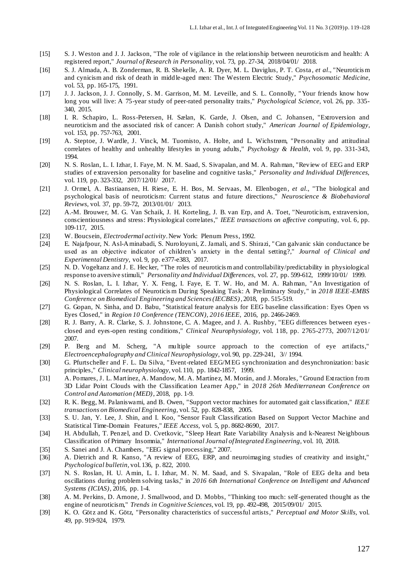- [15] S. J. Weston and J. J. Jackson, "The role of vigilance in the relationship between neuroticism and health: A registered report," *Journal of Research in Personality,* vol. 73, pp. 27-34, 2018/04/01/ 2018.
- [16] S. J. Almada, A. B. Zonderman, R. B. Shekelle, A. R. Dyer, M. L. Daviglus, P. T. Costa *, et al.*, "Neuroticis m and cynicism and risk of death in middle-aged men: The Western Electric Study," *Psychosomatic Medicine,*  vol. 53, pp. 165-175, 1991.
- [17] J. J. Jackson, J. J. Connolly, S. M. Garrison, M. M. Leveille, and S. L. Connolly, " Your friends know how long you will live: A 75-year study of peer-rated personality traits," *Psychological Science,* vol. 26, pp. 335- 340, 2015.
- [18] I. R. Schapiro, L. Ross-Petersen, H. Sælan, K. Garde, J. Olsen, and C. Johansen, "Extroversion and neuroticism and the associated risk of cancer: A Danish cohort study," *American Journal of Epidemiology,*  vol. 153, pp. 757-763, 2001.
- [19] A. Steptoe, J. Wardle, J. Vinck, M. Tuomisto, A. Holte, and L. Wichstrøm, "Personality and attitudinal correlates of healthy and unhealthy lifestyles in young adults," *Psychology & Health,* vol. 9, pp. 331-343, 1994.
- [20] N. S. Roslan, L. I. Izhar, I. Faye, M. N. M. Saad, S. Sivapalan, and M. A. Rahman, "Review of EEG and ERP studies of extraversion personality for baseline and cognitive tasks," *Personality and Individual Differences,*  vol. 119, pp. 323-332, 2017/12/01/ 2017.
- [21] J. Ormel, A. Bastiaansen, H. Riese, E. H. Bos, M. Servaas, M. Ellenbogen*, et al.*, "The biological and psychological basis of neuroticism: Current status and future directions," *Neuroscience & Biobehavioral Reviews,* vol. 37, pp. 59-72, 2013/01/01/ 2013.
- [22] A.-M. Brouwer, M. G. Van Schaik, J. H. Korteling, J. B. van Erp, and A. Toet, "Neuroticism, extraversion, conscientiousness and stress: Physiological correlates," *IEEE transactions on affective computing,* vol. 6, pp. 109-117, 2015.
- [23] W. Boucsein, *Electrodermal activity*. New York: Plenum Press, 1992.
- [24] E. Najafpour, N. Asl-Aminabadi, S. Nuroloyuni, Z. Jamali, and S. Shirazi, " Can galvanic skin conductance be used as an objective indicator of children's anxiety in the dental setting?," *Journal of Clinical and Experimental Dentistry,* vol. 9, pp. e377-e383, 2017.
- [25] N. D. Vogeltanz and J. E. Hecker, "The roles of neuroticis m and controllability/predictability in physiological response to aversive stimuli," *Personality and Individual Differences,* vol. 27, pp. 599-612, 1999/10/01/ 1999.
- [26] N. S. Roslan, L. I. Izhar, Y. X. Feng, I. Faye, E. T. W. Ho, and M. A. Rahman, "An Investigation of Physiological Correlates of Neuroticis m During Speaking Task: A Preliminary Study," in *2018 IEEE-EMBS Conference on Biomedical Engineering and Sciences (IECBES)*, 2018, pp. 515-519.
- [27] G. Gopan, N. Sinha, and D. Babu, "Statistical feature analysis for EEG baseline classification: Eyes Open vs Eyes Closed," in *Region 10 Conference (TENCON), 2016 IEEE*, 2016, pp. 2466-2469.
- [28] R. J. Barry, A. R. Clarke, S. J. Johnstone, C. A. Magee, and J. A. Rushby, "EEG differences between eyesclosed and eyes-open resting conditions," *Clinical Neurophysiology,* vol. 118, pp. 2765-2773, 2007/12/01/ 2007.
- [29] P. Berg and M. Scherg, "A multiple source approach to the correction of eye artifacts," *Electroencephalography and Clinical Neurophysiology,* vol. 90, pp. 229-241, 3// 1994.
- [30] G. Pfurtscheller and F. L. Da Silva, " Event-related EEG/MEG synchronization and desynchronization: basic principles," *Clinical neurophysiology,* vol. 110, pp. 1842-1857, 1999.
- [31] A. Pomares, J. L. Martínez, A. Mandow, M. A. Martínez, M. Morán, and J. Morales, " Ground Extraction from 3D Lidar Point Clouds with the Classification Learner App," in *2018 26th Mediterranean Conference on Control and Automation (MED)*, 2018, pp. 1-9.
- [32] R. K. Begg, M. Palaniswami, and B. Owen, "Support vector machines for automated gait classification," *IEEE transactions on Biomedical Engineering,* vol. 52, pp. 828-838, 2005.
- [33] S. U. Jan, Y. Lee, J. Shin, and I. Koo, "Sensor Fault Classification Based on Support Vector Machine and Statistical Time-Domain Features," *IEEE Access,* vol. 5, pp. 8682-8690, 2017.
- [34] H. Abdullah, T. Penzel, and D. Cvetkovic, "Sleep Heart Rate Variability Analysis and k-Nearest Neighbours Classification of Primary Insomnia," *International Journal of Integrated Engineering,* vol. 10, 2018.
- [35] S. Sanei and J. A. Chambers, "EEG signal processing," 2007.
- [36] A. Dietrich and R. Kanso, "A review of EEG, ERP, and neuroimaging studies of creativity and insight," *Psychological bulletin,* vol. 136, p. 822, 2010.
- [37] N. S. Roslan, H. U. Amin, L. I. Izhar, M. N. M. Saad, and S. Sivapalan, "Role of EEG delta and beta oscillations during problem solving tasks," in *2016 6th International Conference on Intelligent and Advanced Systems (ICIAS)*, 2016, pp. 1-4.
- [38] A. M. Perkins, D. Arnone, J. Smallwood, and D. Mobbs, "Thinking too much: self-generated thought as the engine of neuroticism," *Trends in Cognitive Sciences,* vol. 19, pp. 492-498, 2015/09/01/ 2015.
- [39] K. O. Götz and K. Götz, "Personality characteristics of successful artists," *Perceptual and Motor Skills,* vol. 49, pp. 919-924, 1979.